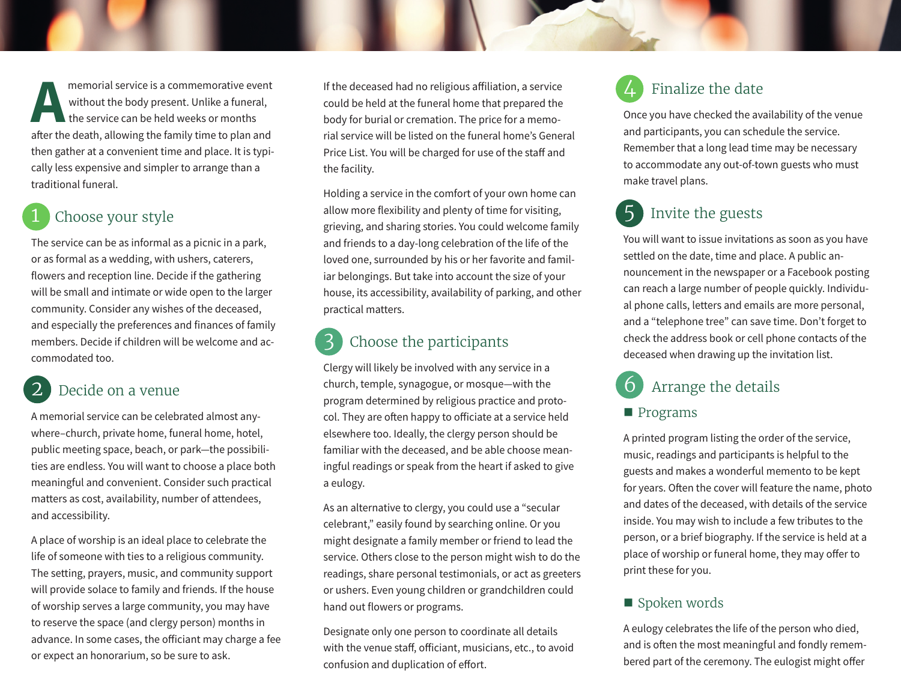memorial service is a commemorative event<br>without the body present. Unlike a funeral,<br>the service can be held weeks or months<br>after the death allowing the family time to plan and without the body present. Unlike a funeral, the service can be held weeks or months after the death, allowing the family time to plan and then gather at a convenient time and place. It is typically less expensive and simpler to arrange than a traditional funeral.

### Choose your style

The service can be as informal as a picnic in a park, or as formal as a wedding, with ushers, caterers, flowers and reception line. Decide if the gathering will be small and intimate or wide open to the larger community. Consider any wishes of the deceased, and especially the preferences and finances of family members. Decide if children will be welcome and accommodated too.

## Decide on a venue

A memorial service can be celebrated almost anywhere–church, private home, funeral home, hotel, public meeting space, beach, or park—the possibilities are endless. You will want to choose a place both meaningful and convenient. Consider such practical matters as cost, availability, number of attendees, and accessibility.

A place of worship is an ideal place to celebrate the life of someone with ties to a religious community. The setting, prayers, music, and community support will provide solace to family and friends. If the house of worship serves a large community, you may have to reserve the space (and clergy person) months in advance. In some cases, the officiant may charge a fee or expect an honorarium, so be sure to ask.

If the deceased had no religious affiliation, a service could be held at the funeral home that prepared the body for burial or cremation. The price for a memorial service will be listed on the funeral home's General Price List. You will be charged for use of the staff and the facility.

Holding a service in the comfort of your own home can allow more flexibility and plenty of time for visiting, grieving, and sharing stories. You could welcome family and friends to a day-long celebration of the life of the loved one, surrounded by his or her favorite and familiar belongings. But take into account the size of your house, its accessibility, availability of parking, and other practical matters.

## Choose the participants

Clergy will likely be involved with any service in a church, temple, synagogue, or mosque—with the program determined by religious practice and protocol. They are often happy to officiate at a service held elsewhere too. Ideally, the clergy person should be familiar with the deceased, and be able choose meaningful readings or speak from the heart if asked to give a eulogy.

As an alternative to clergy, you could use a "secular celebrant," easily found by searching online. Or you might designate a family member or friend to lead the service. Others close to the person might wish to do the readings, share personal testimonials, or act as greeters or ushers. Even young children or grandchildren could hand out flowers or programs.

Designate only one person to coordinate all details with the venue staff, officiant, musicians, etc., to avoid confusion and duplication of effort.

## Finalize the date

Once you have checked the availability of the venue and participants, you can schedule the service. Remember that a long lead time may be necessary to accommodate any out-of-town guests who must make travel plans.

## 5 Invite the guests

You will want to issue invitations as soon as you have settled on the date, time and place. A public announcement in the newspaper or a Facebook posting can reach a large number of people quickly. Individual phone calls, letters and emails are more personal, and a "telephone tree" can save time. Don't forget to check the address book or cell phone contacts of the deceased when drawing up the invitation list.

## Arrange the details

#### **Programs**

A printed program listing the order of the service, music, readings and participants is helpful to the guests and makes a wonderful memento to be kept for years. Often the cover will feature the name, photo and dates of the deceased, with details of the service inside. You may wish to include a few tributes to the person, or a brief biography. If the service is held at a place of worship or funeral home, they may offer to print these for you.

#### ■ Spoken words

A eulogy celebrates the life of the person who died, and is often the most meaningful and fondly remembered part of the ceremony. The eulogist might offer